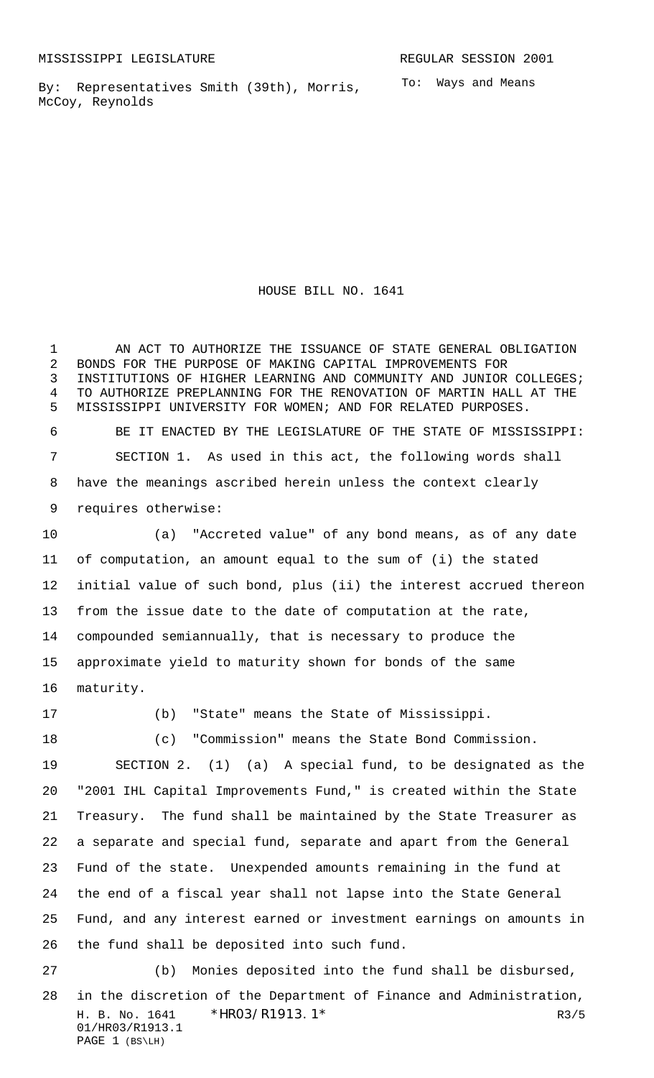By: Representatives Smith (39th), Morris, McCoy, Reynolds

To: Ways and Means

HOUSE BILL NO. 1641

1 AN ACT TO AUTHORIZE THE ISSUANCE OF STATE GENERAL OBLIGATION BONDS FOR THE PURPOSE OF MAKING CAPITAL IMPROVEMENTS FOR INSTITUTIONS OF HIGHER LEARNING AND COMMUNITY AND JUNIOR COLLEGES; TO AUTHORIZE PREPLANNING FOR THE RENOVATION OF MARTIN HALL AT THE MISSISSIPPI UNIVERSITY FOR WOMEN; AND FOR RELATED PURPOSES. BE IT ENACTED BY THE LEGISLATURE OF THE STATE OF MISSISSIPPI: SECTION 1. As used in this act, the following words shall have the meanings ascribed herein unless the context clearly requires otherwise:

 (a) "Accreted value" of any bond means, as of any date of computation, an amount equal to the sum of (i) the stated initial value of such bond, plus (ii) the interest accrued thereon from the issue date to the date of computation at the rate, compounded semiannually, that is necessary to produce the approximate yield to maturity shown for bonds of the same maturity.

(b) "State" means the State of Mississippi.

(c) "Commission" means the State Bond Commission.

 SECTION 2. (1) (a) A special fund, to be designated as the "2001 IHL Capital Improvements Fund," is created within the State Treasury. The fund shall be maintained by the State Treasurer as a separate and special fund, separate and apart from the General Fund of the state. Unexpended amounts remaining in the fund at the end of a fiscal year shall not lapse into the State General Fund, and any interest earned or investment earnings on amounts in the fund shall be deposited into such fund.

H. B. No. 1641 \* HRO3/R1913.1\* R3/5 01/HR03/R1913.1 PAGE 1 (BS\LH) (b) Monies deposited into the fund shall be disbursed, in the discretion of the Department of Finance and Administration,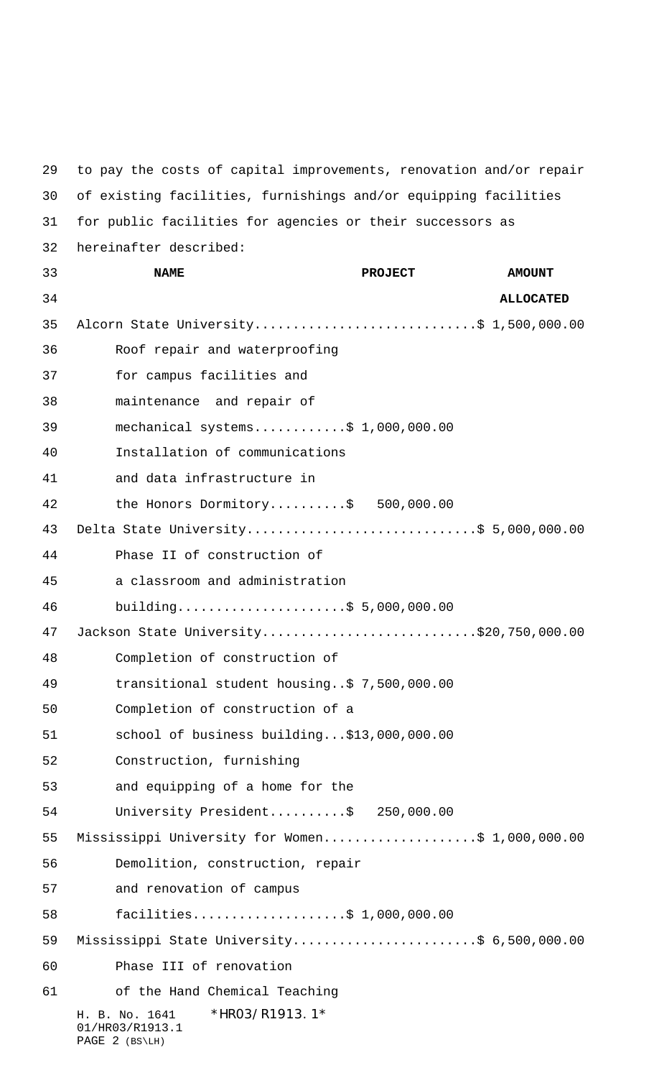H. B. No. 1641 \*HR03/R1913.1\* 01/HR03/R1913.1 PAGE 2 (BS\LH) to pay the costs of capital improvements, renovation and/or repair of existing facilities, furnishings and/or equipping facilities for public facilities for agencies or their successors as hereinafter described: **NAME PROJECT AMOUNT ALLOCATED** 35 Alcorn State University................................\$ 1,500,000.00 Roof repair and waterproofing for campus facilities and maintenance and repair of mechanical systems............\$ 1,000,000.00 Installation of communications and data infrastructure in 42 the Honors Dormitory..........\$ 500,000.00 43 Delta State University................................\$ 5,000,000.00 Phase II of construction of a classroom and administration building......................\$ 5,000,000.00 Jackson State University............................\$20,750,000.00 Completion of construction of transitional student housing..\$ 7,500,000.00 Completion of construction of a school of business building...\$13,000,000.00 Construction, furnishing and equipping of a home for the University President..........\$ 250,000.00 55 Mississippi University for Women......................\$ 1,000,000.00 Demolition, construction, repair and renovation of campus facilities....................\$ 1,000,000.00 59 Mississippi State University..........................\$ 6,500,000.00 Phase III of renovation of the Hand Chemical Teaching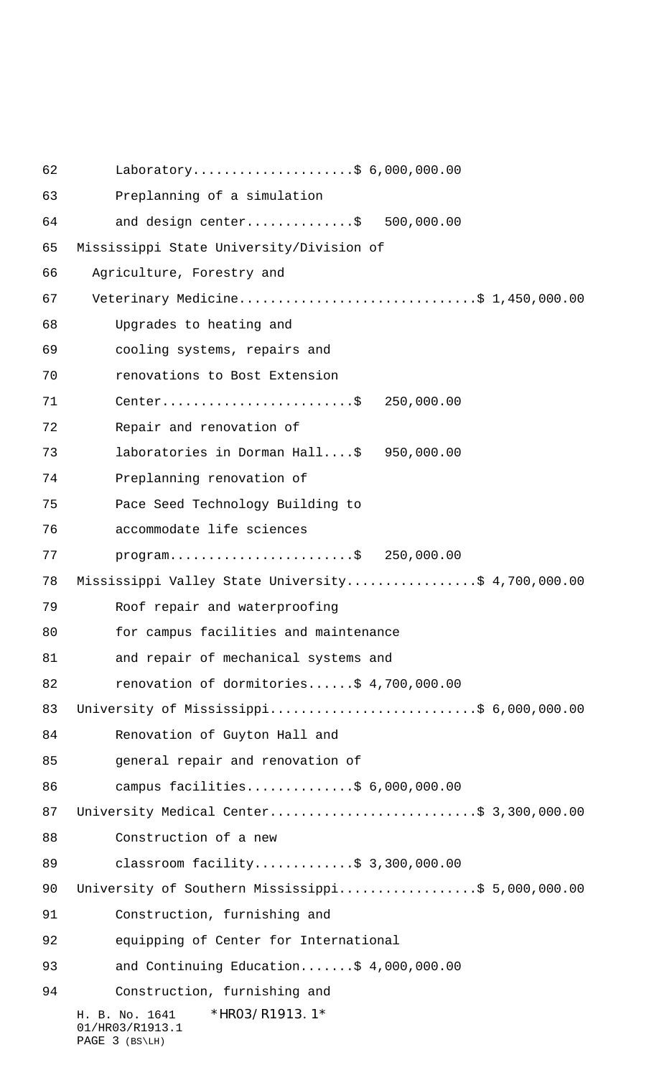H. B. No. 1641 \*HR03/R1913.1\* 01/HR03/R1913.1 PAGE 3 (BS\LH) Laboratory.....................\$ 6,000,000.00 Preplanning of a simulation and design center..............\$ 500,000.00 Mississippi State University/Division of 66 Agriculture, Forestry and 67 Veterinary Medicine...............................\$ 1,450,000.00 Upgrades to heating and cooling systems, repairs and renovations to Bost Extension Center.........................\$ 250,000.00 Repair and renovation of laboratories in Dorman Hall....\$ 950,000.00 Preplanning renovation of Pace Seed Technology Building to accommodate life sciences program........................\$ 250,000.00 Mississippi Valley State University.................\$ 4,700,000.00 Roof repair and waterproofing for campus facilities and maintenance and repair of mechanical systems and renovation of dormitories......\$ 4,700,000.00 University of Mississippi...........................\$ 6,000,000.00 Renovation of Guyton Hall and general repair and renovation of 86 campus facilities...............\$ 6,000,000.00 87 University Medical Center.............................\$ 3,300,000.00 Construction of a new 89 classroom facility..............\$ 3,300,000.00 90 University of Southern Mississippi....................\$ 5,000,000.00 Construction, furnishing and equipping of Center for International and Continuing Education.......\$ 4,000,000.00 Construction, furnishing and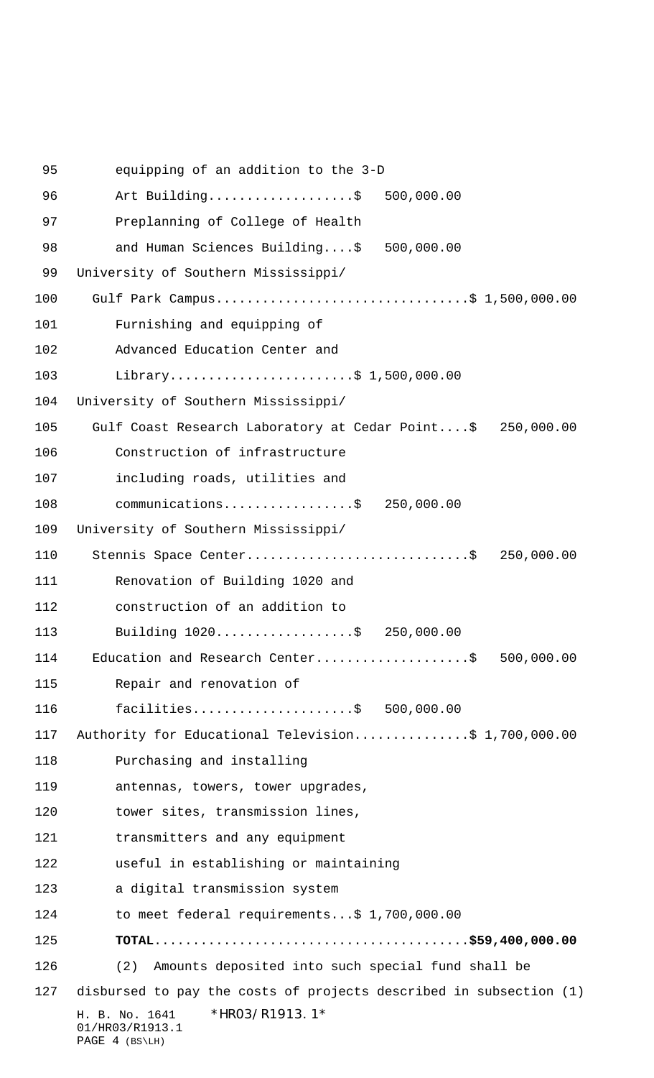H. B. No. 1641 \*HR03/R1913.1\* 01/HR03/R1913.1 PAGE 4 (BS\LH) equipping of an addition to the 3-D Art Building...................\$ 500,000.00 Preplanning of College of Health and Human Sciences Building....\$ 500,000.00 University of Southern Mississippi/ 100 Gulf Park Campus.................................\$ 1,500,000.00 Furnishing and equipping of Advanced Education Center and Library........................\$ 1,500,000.00 University of Southern Mississippi/ 105 Gulf Coast Research Laboratory at Cedar Point....\$ 250,000.00 Construction of infrastructure including roads, utilities and 108 communications..................\$ 250,000.00 University of Southern Mississippi/ 110 Stennis Space Center................................\$ 250,000.00 Renovation of Building 1020 and construction of an addition to 113 Building 1020....................\$ 250,000.00 114 Education and Research Center......................\$ 500,000.00 Repair and renovation of facilities.....................\$ 500,000.00 117 Authority for Educational Television...............\$ 1,700,000.00 Purchasing and installing antennas, towers, tower upgrades, tower sites, transmission lines, transmitters and any equipment useful in establishing or maintaining a digital transmission system to meet federal requirements...\$ 1,700,000.00 **TOTAL**.........................................**\$59,400,000.00** (2) Amounts deposited into such special fund shall be disbursed to pay the costs of projects described in subsection (1)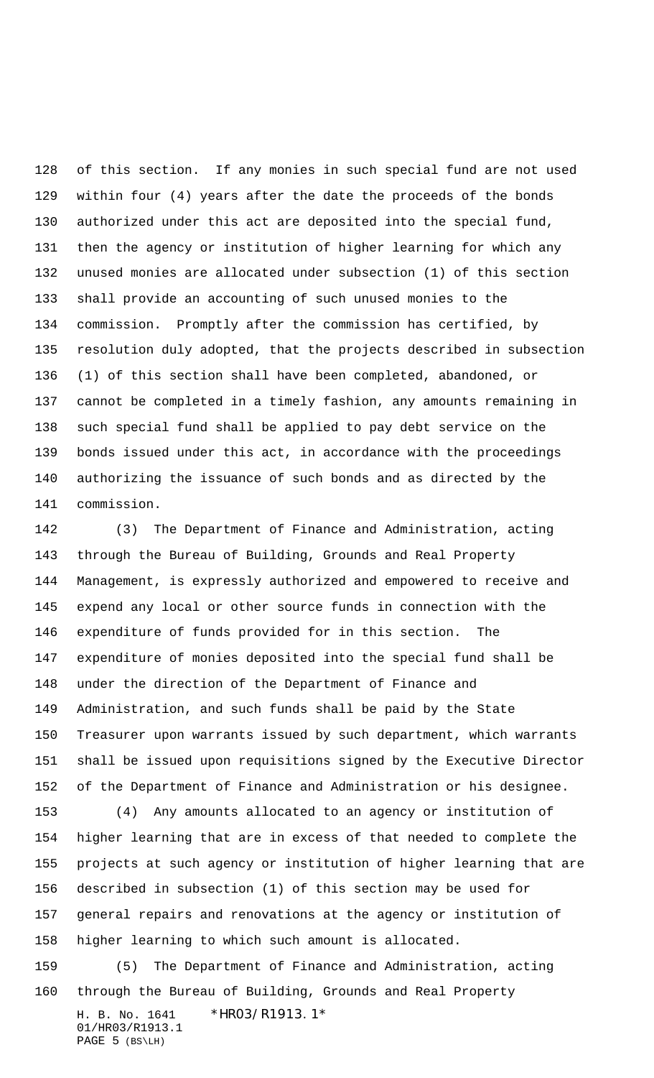of this section. If any monies in such special fund are not used within four (4) years after the date the proceeds of the bonds authorized under this act are deposited into the special fund, then the agency or institution of higher learning for which any unused monies are allocated under subsection (1) of this section shall provide an accounting of such unused monies to the commission. Promptly after the commission has certified, by resolution duly adopted, that the projects described in subsection (1) of this section shall have been completed, abandoned, or cannot be completed in a timely fashion, any amounts remaining in such special fund shall be applied to pay debt service on the bonds issued under this act, in accordance with the proceedings authorizing the issuance of such bonds and as directed by the commission.

 (3) The Department of Finance and Administration, acting through the Bureau of Building, Grounds and Real Property Management, is expressly authorized and empowered to receive and expend any local or other source funds in connection with the expenditure of funds provided for in this section. The expenditure of monies deposited into the special fund shall be under the direction of the Department of Finance and Administration, and such funds shall be paid by the State Treasurer upon warrants issued by such department, which warrants shall be issued upon requisitions signed by the Executive Director of the Department of Finance and Administration or his designee.

 (4) Any amounts allocated to an agency or institution of higher learning that are in excess of that needed to complete the projects at such agency or institution of higher learning that are described in subsection (1) of this section may be used for general repairs and renovations at the agency or institution of higher learning to which such amount is allocated.

H. B. No. 1641 \*HR03/R1913.1\* 01/HR03/R1913.1 PAGE 5 (BS\LH) (5) The Department of Finance and Administration, acting through the Bureau of Building, Grounds and Real Property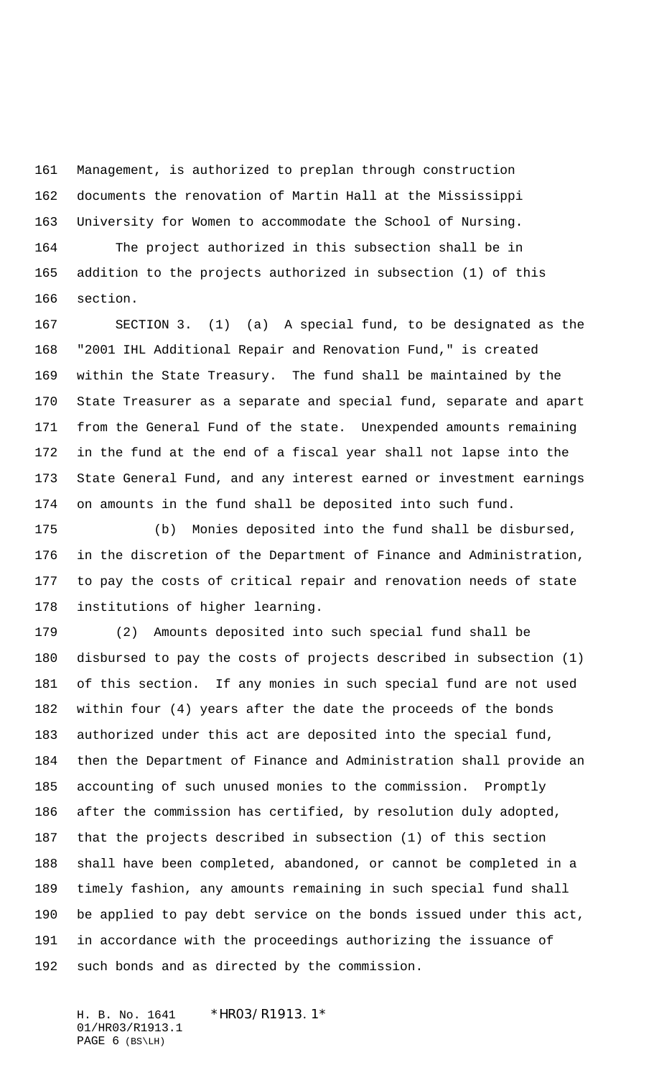Management, is authorized to preplan through construction documents the renovation of Martin Hall at the Mississippi University for Women to accommodate the School of Nursing.

 The project authorized in this subsection shall be in addition to the projects authorized in subsection (1) of this section.

 SECTION 3. (1) (a) A special fund, to be designated as the "2001 IHL Additional Repair and Renovation Fund," is created within the State Treasury. The fund shall be maintained by the State Treasurer as a separate and special fund, separate and apart from the General Fund of the state. Unexpended amounts remaining in the fund at the end of a fiscal year shall not lapse into the State General Fund, and any interest earned or investment earnings on amounts in the fund shall be deposited into such fund.

 (b) Monies deposited into the fund shall be disbursed, in the discretion of the Department of Finance and Administration, to pay the costs of critical repair and renovation needs of state institutions of higher learning.

 (2) Amounts deposited into such special fund shall be disbursed to pay the costs of projects described in subsection (1) of this section. If any monies in such special fund are not used within four (4) years after the date the proceeds of the bonds authorized under this act are deposited into the special fund, then the Department of Finance and Administration shall provide an accounting of such unused monies to the commission. Promptly after the commission has certified, by resolution duly adopted, that the projects described in subsection (1) of this section shall have been completed, abandoned, or cannot be completed in a timely fashion, any amounts remaining in such special fund shall be applied to pay debt service on the bonds issued under this act, in accordance with the proceedings authorizing the issuance of such bonds and as directed by the commission.

H. B. No. 1641 \*HR03/R1913.1\* 01/HR03/R1913.1 PAGE 6 (BS\LH)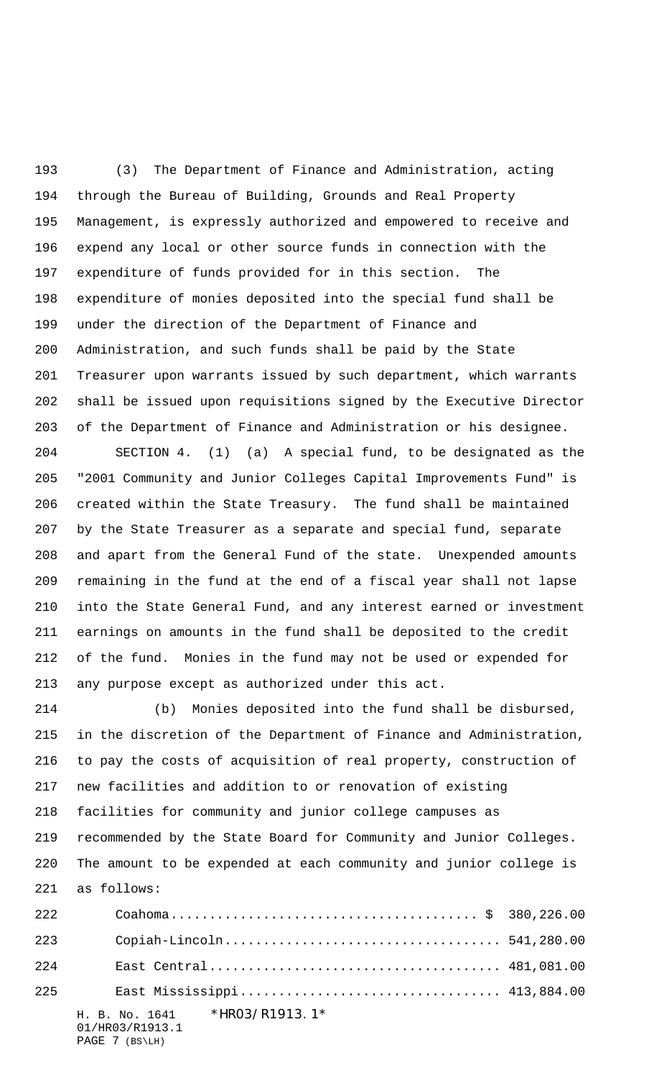(3) The Department of Finance and Administration, acting through the Bureau of Building, Grounds and Real Property Management, is expressly authorized and empowered to receive and expend any local or other source funds in connection with the expenditure of funds provided for in this section. The expenditure of monies deposited into the special fund shall be under the direction of the Department of Finance and Administration, and such funds shall be paid by the State Treasurer upon warrants issued by such department, which warrants shall be issued upon requisitions signed by the Executive Director of the Department of Finance and Administration or his designee.

 SECTION 4. (1) (a) A special fund, to be designated as the "2001 Community and Junior Colleges Capital Improvements Fund" is created within the State Treasury. The fund shall be maintained by the State Treasurer as a separate and special fund, separate and apart from the General Fund of the state. Unexpended amounts remaining in the fund at the end of a fiscal year shall not lapse into the State General Fund, and any interest earned or investment earnings on amounts in the fund shall be deposited to the credit of the fund. Monies in the fund may not be used or expended for any purpose except as authorized under this act.

 (b) Monies deposited into the fund shall be disbursed, in the discretion of the Department of Finance and Administration, to pay the costs of acquisition of real property, construction of new facilities and addition to or renovation of existing facilities for community and junior college campuses as recommended by the State Board for Community and Junior Colleges. The amount to be expended at each community and junior college is as follows:

| 222 |                                                                    |  |
|-----|--------------------------------------------------------------------|--|
| 223 |                                                                    |  |
| 224 |                                                                    |  |
| 225 |                                                                    |  |
|     | H. B. No. 1641 *HRO3/R1913.1*<br>01/HR03/R1913.1<br>PAGE 7 (BS\LH) |  |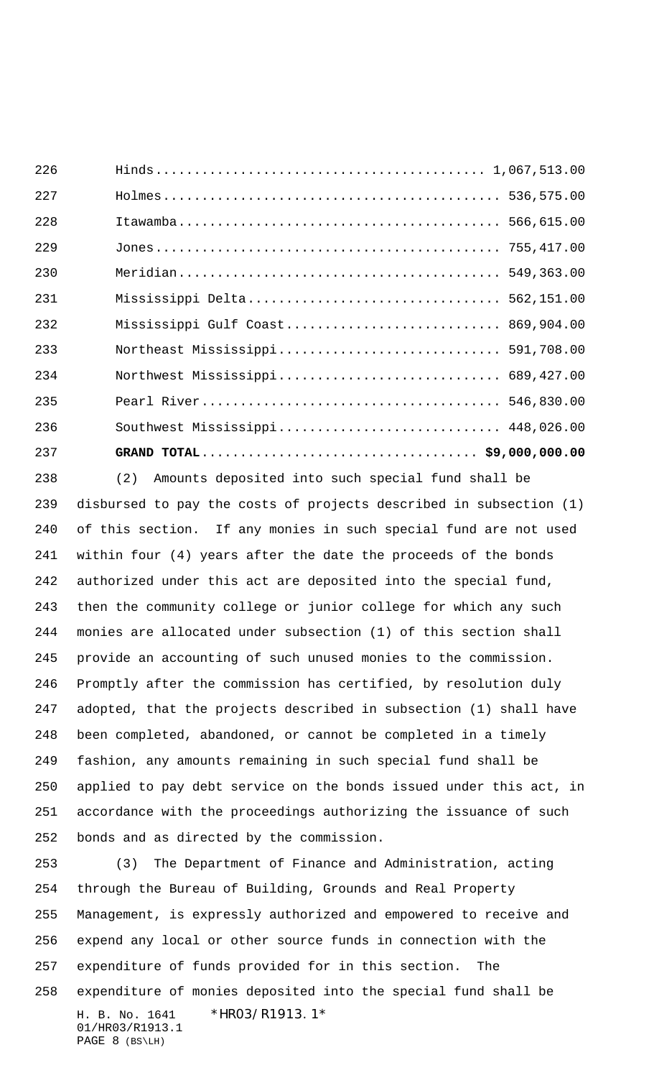| 226 |                                   |  |
|-----|-----------------------------------|--|
| 227 |                                   |  |
| 228 |                                   |  |
| 229 |                                   |  |
| 230 |                                   |  |
| 231 | Mississippi Delta 562,151.00      |  |
| 232 | Mississippi Gulf Coast 869,904.00 |  |
| 233 |                                   |  |
| 234 |                                   |  |
| 235 |                                   |  |
| 236 |                                   |  |
| 237 |                                   |  |

 (2) Amounts deposited into such special fund shall be disbursed to pay the costs of projects described in subsection (1) of this section. If any monies in such special fund are not used within four (4) years after the date the proceeds of the bonds authorized under this act are deposited into the special fund, then the community college or junior college for which any such monies are allocated under subsection (1) of this section shall provide an accounting of such unused monies to the commission. Promptly after the commission has certified, by resolution duly adopted, that the projects described in subsection (1) shall have been completed, abandoned, or cannot be completed in a timely fashion, any amounts remaining in such special fund shall be applied to pay debt service on the bonds issued under this act, in accordance with the proceedings authorizing the issuance of such bonds and as directed by the commission.

H. B. No. 1641 \*HR03/R1913.1\* 01/HR03/R1913.1 PAGE 8 (BS\LH) (3) The Department of Finance and Administration, acting through the Bureau of Building, Grounds and Real Property Management, is expressly authorized and empowered to receive and expend any local or other source funds in connection with the expenditure of funds provided for in this section. The expenditure of monies deposited into the special fund shall be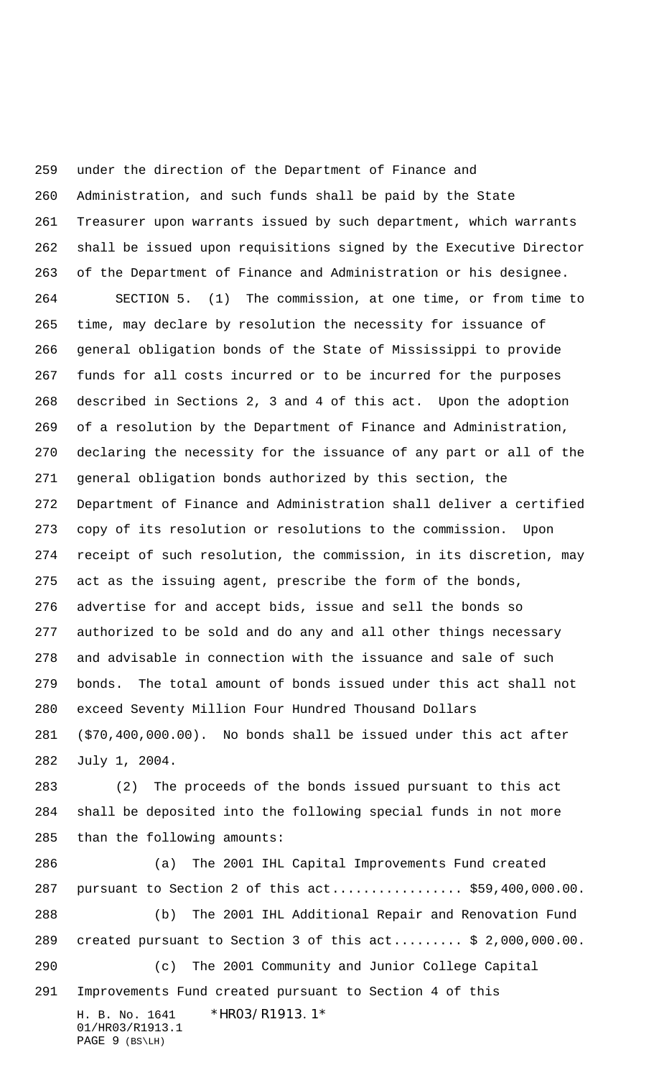H. B. No. 1641 \*HR03/R1913.1\* under the direction of the Department of Finance and Administration, and such funds shall be paid by the State Treasurer upon warrants issued by such department, which warrants shall be issued upon requisitions signed by the Executive Director of the Department of Finance and Administration or his designee. SECTION 5. (1) The commission, at one time, or from time to time, may declare by resolution the necessity for issuance of general obligation bonds of the State of Mississippi to provide funds for all costs incurred or to be incurred for the purposes described in Sections 2, 3 and 4 of this act. Upon the adoption of a resolution by the Department of Finance and Administration, declaring the necessity for the issuance of any part or all of the general obligation bonds authorized by this section, the Department of Finance and Administration shall deliver a certified copy of its resolution or resolutions to the commission. Upon receipt of such resolution, the commission, in its discretion, may act as the issuing agent, prescribe the form of the bonds, advertise for and accept bids, issue and sell the bonds so authorized to be sold and do any and all other things necessary and advisable in connection with the issuance and sale of such bonds. The total amount of bonds issued under this act shall not exceed Seventy Million Four Hundred Thousand Dollars (\$70,400,000.00). No bonds shall be issued under this act after July 1, 2004. (2) The proceeds of the bonds issued pursuant to this act shall be deposited into the following special funds in not more than the following amounts: (a) The 2001 IHL Capital Improvements Fund created pursuant to Section 2 of this act................. \$59,400,000.00. (b) The 2001 IHL Additional Repair and Renovation Fund created pursuant to Section 3 of this act......... \$ 2,000,000.00. (c) The 2001 Community and Junior College Capital Improvements Fund created pursuant to Section 4 of this

01/HR03/R1913.1 PAGE 9 (BS\LH)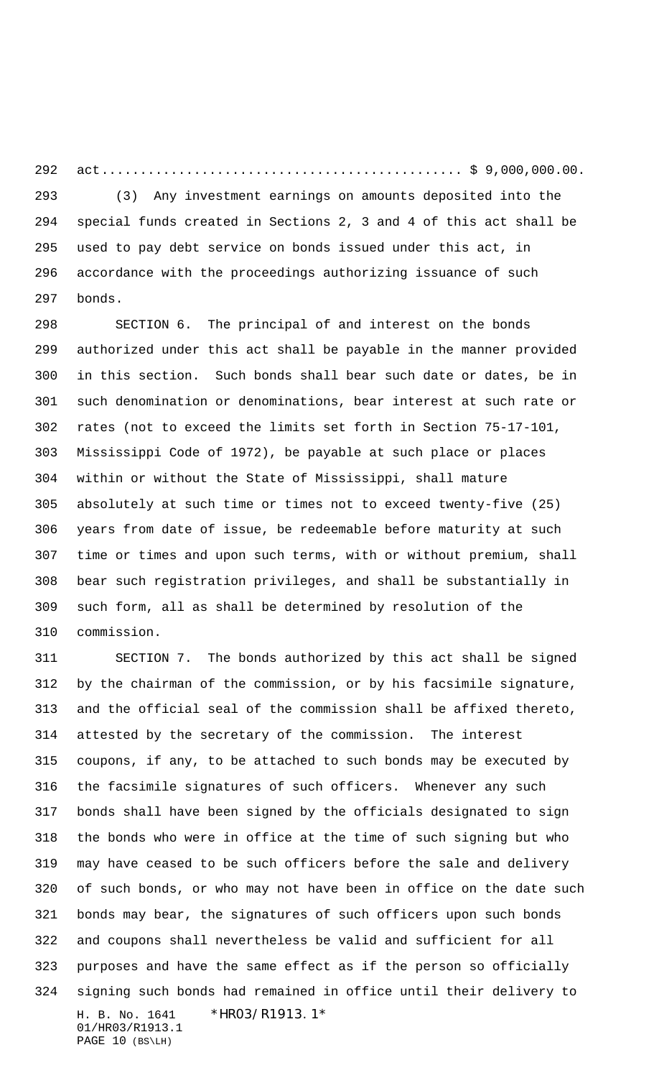act............................................... \$ 9,000,000.00. (3) Any investment earnings on amounts deposited into the special funds created in Sections 2, 3 and 4 of this act shall be used to pay debt service on bonds issued under this act, in accordance with the proceedings authorizing issuance of such bonds.

 SECTION 6. The principal of and interest on the bonds authorized under this act shall be payable in the manner provided in this section. Such bonds shall bear such date or dates, be in such denomination or denominations, bear interest at such rate or rates (not to exceed the limits set forth in Section 75-17-101, Mississippi Code of 1972), be payable at such place or places within or without the State of Mississippi, shall mature absolutely at such time or times not to exceed twenty-five (25) years from date of issue, be redeemable before maturity at such time or times and upon such terms, with or without premium, shall bear such registration privileges, and shall be substantially in such form, all as shall be determined by resolution of the commission.

H. B. No. 1641 \*HR03/R1913.1\* 01/HR03/R1913.1 PAGE 10 (BS\LH) SECTION 7. The bonds authorized by this act shall be signed by the chairman of the commission, or by his facsimile signature, and the official seal of the commission shall be affixed thereto, attested by the secretary of the commission. The interest coupons, if any, to be attached to such bonds may be executed by the facsimile signatures of such officers. Whenever any such bonds shall have been signed by the officials designated to sign the bonds who were in office at the time of such signing but who may have ceased to be such officers before the sale and delivery of such bonds, or who may not have been in office on the date such bonds may bear, the signatures of such officers upon such bonds and coupons shall nevertheless be valid and sufficient for all purposes and have the same effect as if the person so officially signing such bonds had remained in office until their delivery to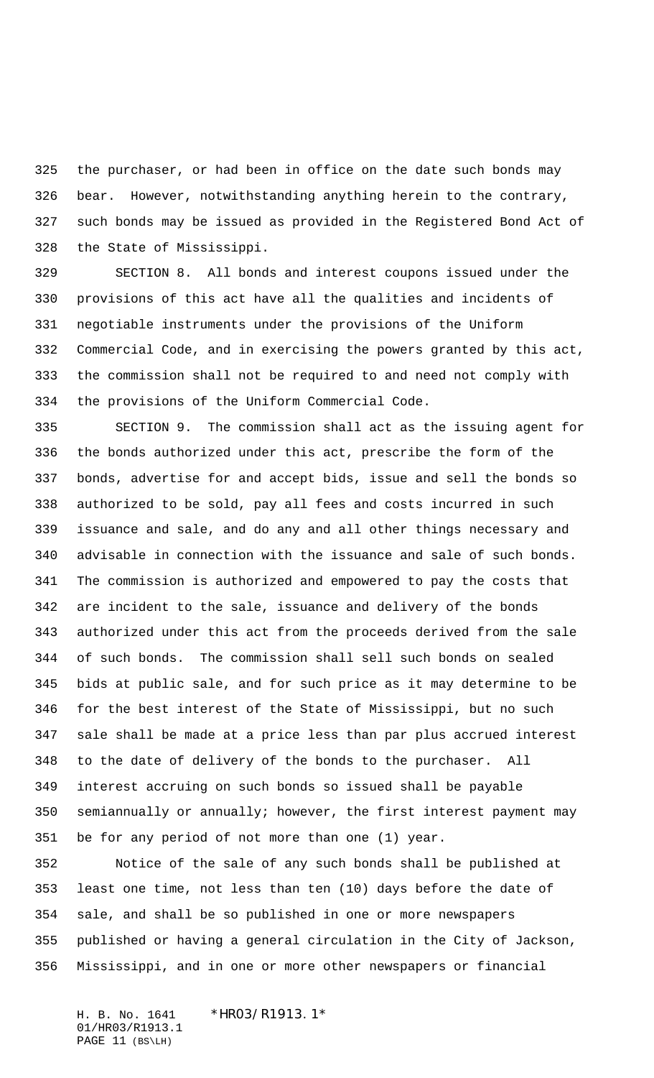the purchaser, or had been in office on the date such bonds may bear. However, notwithstanding anything herein to the contrary, such bonds may be issued as provided in the Registered Bond Act of the State of Mississippi.

 SECTION 8. All bonds and interest coupons issued under the provisions of this act have all the qualities and incidents of negotiable instruments under the provisions of the Uniform Commercial Code, and in exercising the powers granted by this act, the commission shall not be required to and need not comply with the provisions of the Uniform Commercial Code.

 SECTION 9. The commission shall act as the issuing agent for the bonds authorized under this act, prescribe the form of the bonds, advertise for and accept bids, issue and sell the bonds so authorized to be sold, pay all fees and costs incurred in such issuance and sale, and do any and all other things necessary and advisable in connection with the issuance and sale of such bonds. The commission is authorized and empowered to pay the costs that are incident to the sale, issuance and delivery of the bonds authorized under this act from the proceeds derived from the sale of such bonds. The commission shall sell such bonds on sealed bids at public sale, and for such price as it may determine to be for the best interest of the State of Mississippi, but no such sale shall be made at a price less than par plus accrued interest to the date of delivery of the bonds to the purchaser. All interest accruing on such bonds so issued shall be payable semiannually or annually; however, the first interest payment may be for any period of not more than one (1) year.

 Notice of the sale of any such bonds shall be published at least one time, not less than ten (10) days before the date of sale, and shall be so published in one or more newspapers published or having a general circulation in the City of Jackson, Mississippi, and in one or more other newspapers or financial

H. B. No. 1641 \*HR03/R1913.1\* 01/HR03/R1913.1 PAGE 11 (BS\LH)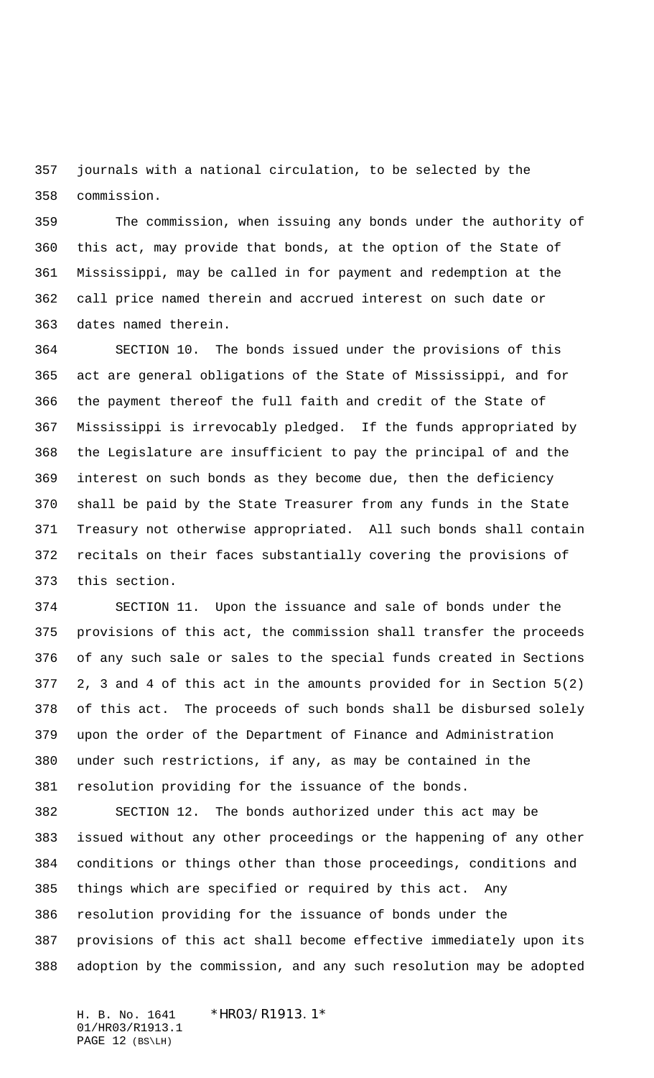journals with a national circulation, to be selected by the commission.

 The commission, when issuing any bonds under the authority of this act, may provide that bonds, at the option of the State of Mississippi, may be called in for payment and redemption at the call price named therein and accrued interest on such date or dates named therein.

 SECTION 10. The bonds issued under the provisions of this act are general obligations of the State of Mississippi, and for the payment thereof the full faith and credit of the State of Mississippi is irrevocably pledged. If the funds appropriated by the Legislature are insufficient to pay the principal of and the interest on such bonds as they become due, then the deficiency shall be paid by the State Treasurer from any funds in the State Treasury not otherwise appropriated. All such bonds shall contain recitals on their faces substantially covering the provisions of this section.

 SECTION 11. Upon the issuance and sale of bonds under the provisions of this act, the commission shall transfer the proceeds of any such sale or sales to the special funds created in Sections 2, 3 and 4 of this act in the amounts provided for in Section 5(2) of this act. The proceeds of such bonds shall be disbursed solely upon the order of the Department of Finance and Administration under such restrictions, if any, as may be contained in the resolution providing for the issuance of the bonds.

 SECTION 12. The bonds authorized under this act may be issued without any other proceedings or the happening of any other conditions or things other than those proceedings, conditions and things which are specified or required by this act. Any resolution providing for the issuance of bonds under the provisions of this act shall become effective immediately upon its adoption by the commission, and any such resolution may be adopted

H. B. No. 1641 \*HR03/R1913.1\* 01/HR03/R1913.1 PAGE 12 (BS\LH)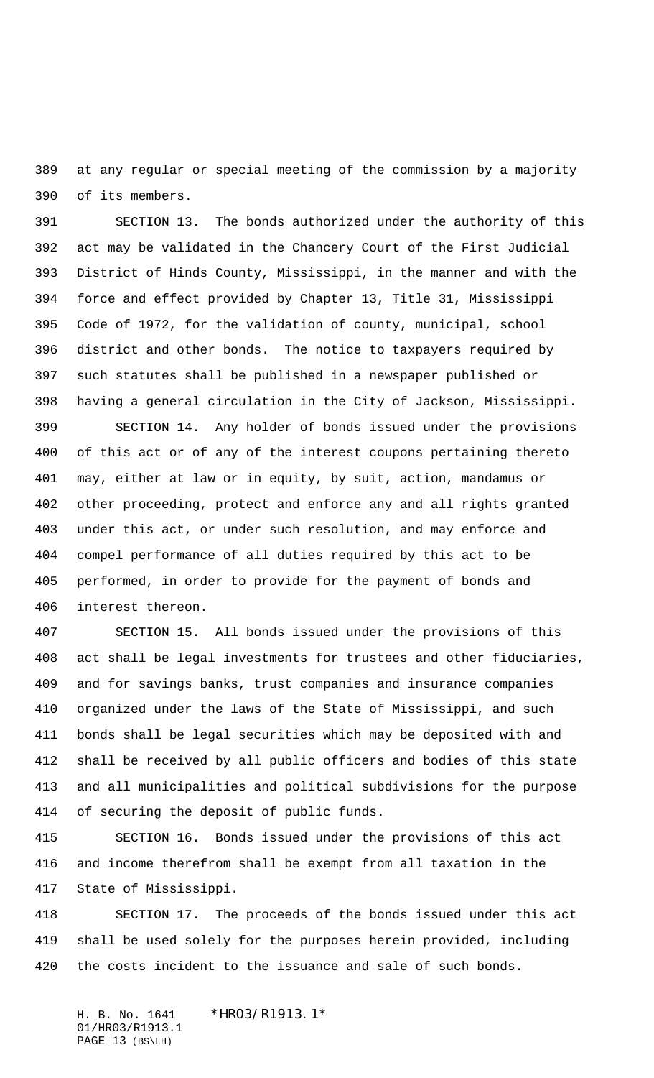at any regular or special meeting of the commission by a majority of its members.

 SECTION 13. The bonds authorized under the authority of this act may be validated in the Chancery Court of the First Judicial District of Hinds County, Mississippi, in the manner and with the force and effect provided by Chapter 13, Title 31, Mississippi Code of 1972, for the validation of county, municipal, school district and other bonds. The notice to taxpayers required by such statutes shall be published in a newspaper published or having a general circulation in the City of Jackson, Mississippi.

 SECTION 14. Any holder of bonds issued under the provisions of this act or of any of the interest coupons pertaining thereto may, either at law or in equity, by suit, action, mandamus or other proceeding, protect and enforce any and all rights granted under this act, or under such resolution, and may enforce and compel performance of all duties required by this act to be performed, in order to provide for the payment of bonds and interest thereon.

 SECTION 15. All bonds issued under the provisions of this act shall be legal investments for trustees and other fiduciaries, and for savings banks, trust companies and insurance companies organized under the laws of the State of Mississippi, and such bonds shall be legal securities which may be deposited with and shall be received by all public officers and bodies of this state and all municipalities and political subdivisions for the purpose of securing the deposit of public funds.

 SECTION 16. Bonds issued under the provisions of this act and income therefrom shall be exempt from all taxation in the State of Mississippi.

 SECTION 17. The proceeds of the bonds issued under this act shall be used solely for the purposes herein provided, including the costs incident to the issuance and sale of such bonds.

H. B. No. 1641 \*HR03/R1913.1\* 01/HR03/R1913.1 PAGE 13 (BS\LH)